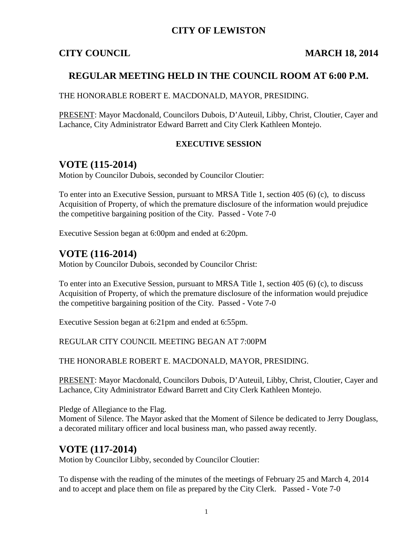### **CITY OF LEWISTON**

### **CITY COUNCIL MARCH 18, 2014**

### **REGULAR MEETING HELD IN THE COUNCIL ROOM AT 6:00 P.M.**

THE HONORABLE ROBERT E. MACDONALD, MAYOR, PRESIDING.

PRESENT: Mayor Macdonald, Councilors Dubois, D'Auteuil, Libby, Christ, Cloutier, Cayer and Lachance, City Administrator Edward Barrett and City Clerk Kathleen Montejo.

#### **EXECUTIVE SESSION**

## **VOTE (115-2014)**

Motion by Councilor Dubois, seconded by Councilor Cloutier:

To enter into an Executive Session, pursuant to MRSA Title 1, section 405 (6) (c), to discuss Acquisition of Property, of which the premature disclosure of the information would prejudice the competitive bargaining position of the City. Passed - Vote 7-0

Executive Session began at 6:00pm and ended at 6:20pm.

## **VOTE (116-2014)**

Motion by Councilor Dubois, seconded by Councilor Christ:

To enter into an Executive Session, pursuant to MRSA Title 1, section 405 (6) (c), to discuss Acquisition of Property, of which the premature disclosure of the information would prejudice the competitive bargaining position of the City. Passed - Vote 7-0

Executive Session began at 6:21pm and ended at 6:55pm.

REGULAR CITY COUNCIL MEETING BEGAN AT 7:00PM

THE HONORABLE ROBERT E. MACDONALD, MAYOR, PRESIDING.

PRESENT: Mayor Macdonald, Councilors Dubois, D'Auteuil, Libby, Christ, Cloutier, Cayer and Lachance, City Administrator Edward Barrett and City Clerk Kathleen Montejo.

Pledge of Allegiance to the Flag.

Moment of Silence. The Mayor asked that the Moment of Silence be dedicated to Jerry Douglass, a decorated military officer and local business man, who passed away recently.

## **VOTE (117-2014)**

Motion by Councilor Libby, seconded by Councilor Cloutier:

To dispense with the reading of the minutes of the meetings of February 25 and March 4, 2014 and to accept and place them on file as prepared by the City Clerk. Passed - Vote 7-0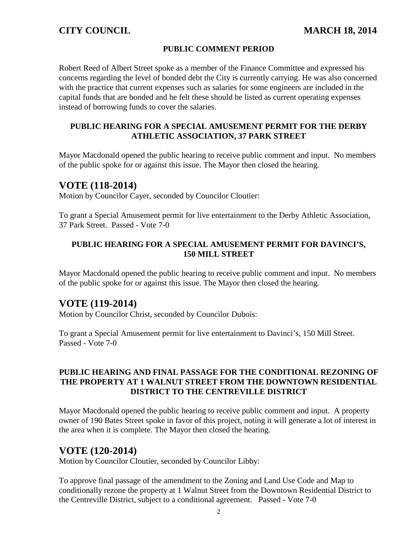#### **PUBLIC COMMENT PERIOD**

Robert Reed of Albert Street spoke as a member of the Finance Committee and expressed his concerns regarding the level of bonded debt the City is currently carrying. He was also concerned with the practice that current expenses such as salaries for some engineers are included in the capital funds that are bonded and he felt these should be listed as current operating expenses instead of borrowing funds to cover the salaries.

#### **PUBLIC HEARING FOR A SPECIAL AMUSEMENT PERMIT FOR THE DERBY ATHLETIC ASSOCIATION, 37 PARK STREET**

Mayor Macdonald opened the public hearing to receive public comment and input. No members of the public spoke for or against this issue. The Mayor then closed the hearing.

### **VOTE (118-2014)**

Motion by Councilor Cayer, seconded by Councilor Cloutier:

To grant a Special Amusement permit for live entertainment to the Derby Athletic Association, 37 Park Street. Passed - Vote 7-0

#### **PUBLIC HEARING FOR A SPECIAL AMUSEMENT PERMIT FOR DAVINCI'S, 150 MILL STREET**

Mayor Macdonald opened the public hearing to receive public comment and input. No members of the public spoke for or against this issue. The Mayor then closed the hearing.

## **VOTE (119-2014)**

Motion by Councilor Christ, seconded by Councilor Dubois:

To grant a Special Amusement permit for live entertainment to Davinci's, 150 Mill Street. Passed - Vote 7-0

#### **PUBLIC HEARING AND FINAL PASSAGE FOR THE CONDITIONAL REZONING OF THE PROPERTY AT 1 WALNUT STREET FROM THE DOWNTOWN RESIDENTIAL DISTRICT TO THE CENTREVILLE DISTRICT**

Mayor Macdonald opened the public hearing to receive public comment and input. A property owner of 190 Bates Street spoke in favor of this project, noting it will generate a lot of interest in the area when it is complete. The Mayor then closed the hearing.

## **VOTE (120-2014)**

Motion by Councilor Cloutier, seconded by Councilor Libby:

To approve final passage of the amendment to the Zoning and Land Use Code and Map to conditionally rezone the property at 1 Walnut Street from the Downtown Residential District to the Centreville District, subject to a conditional agreement. Passed - Vote 7-0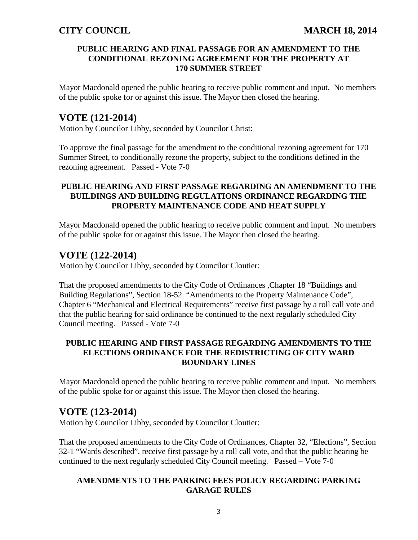#### **PUBLIC HEARING AND FINAL PASSAGE FOR AN AMENDMENT TO THE CONDITIONAL REZONING AGREEMENT FOR THE PROPERTY AT 170 SUMMER STREET**

Mayor Macdonald opened the public hearing to receive public comment and input. No members of the public spoke for or against this issue. The Mayor then closed the hearing.

# **VOTE (121-2014)**

Motion by Councilor Libby, seconded by Councilor Christ:

To approve the final passage for the amendment to the conditional rezoning agreement for 170 Summer Street, to conditionally rezone the property, subject to the conditions defined in the rezoning agreement. Passed - Vote 7-0

### **PUBLIC HEARING AND FIRST PASSAGE REGARDING AN AMENDMENT TO THE BUILDINGS AND BUILDING REGULATIONS ORDINANCE REGARDING THE PROPERTY MAINTENANCE CODE AND HEAT SUPPLY**

Mayor Macdonald opened the public hearing to receive public comment and input. No members of the public spoke for or against this issue. The Mayor then closed the hearing.

## **VOTE (122-2014)**

Motion by Councilor Libby, seconded by Councilor Cloutier:

That the proposed amendments to the City Code of Ordinances ,Chapter 18 "Buildings and Building Regulations", Section 18-52. "Amendments to the Property Maintenance Code", Chapter 6 "Mechanical and Electrical Requirements" receive first passage by a roll call vote and that the public hearing for said ordinance be continued to the next regularly scheduled City Council meeting. Passed - Vote 7-0

#### **PUBLIC HEARING AND FIRST PASSAGE REGARDING AMENDMENTS TO THE ELECTIONS ORDINANCE FOR THE REDISTRICTING OF CITY WARD BOUNDARY LINES**

Mayor Macdonald opened the public hearing to receive public comment and input. No members of the public spoke for or against this issue. The Mayor then closed the hearing.

## **VOTE (123-2014)**

Motion by Councilor Libby, seconded by Councilor Cloutier:

That the proposed amendments to the City Code of Ordinances, Chapter 32, "Elections", Section 32-1 "Wards described", receive first passage by a roll call vote, and that the public hearing be continued to the next regularly scheduled City Council meeting. Passed – Vote 7-0

### **AMENDMENTS TO THE PARKING FEES POLICY REGARDING PARKING GARAGE RULES**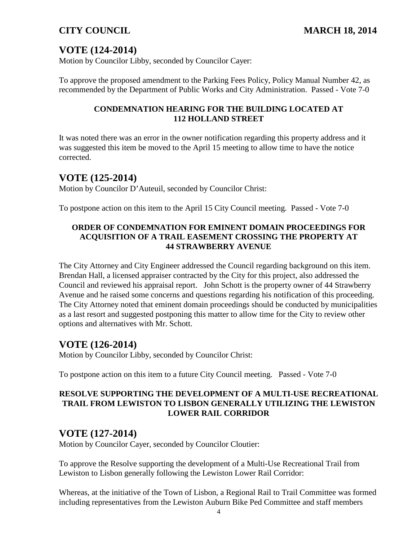# **VOTE (124-2014)**

Motion by Councilor Libby, seconded by Councilor Cayer:

To approve the proposed amendment to the Parking Fees Policy, Policy Manual Number 42, as recommended by the Department of Public Works and City Administration. Passed - Vote 7-0

### **CONDEMNATION HEARING FOR THE BUILDING LOCATED AT 112 HOLLAND STREET**

It was noted there was an error in the owner notification regarding this property address and it was suggested this item be moved to the April 15 meeting to allow time to have the notice corrected.

## **VOTE (125-2014)**

Motion by Councilor D'Auteuil, seconded by Councilor Christ:

To postpone action on this item to the April 15 City Council meeting. Passed - Vote 7-0

### **ORDER OF CONDEMNATION FOR EMINENT DOMAIN PROCEEDINGS FOR ACQUISITION OF A TRAIL EASEMENT CROSSING THE PROPERTY AT 44 STRAWBERRY AVENUE**

The City Attorney and City Engineer addressed the Council regarding background on this item. Brendan Hall, a licensed appraiser contracted by the City for this project, also addressed the Council and reviewed his appraisal report. John Schott is the property owner of 44 Strawberry Avenue and he raised some concerns and questions regarding his notification of this proceeding. The City Attorney noted that eminent domain proceedings should be conducted by municipalities as a last resort and suggested postponing this matter to allow time for the City to review other options and alternatives with Mr. Schott.

# **VOTE (126-2014)**

Motion by Councilor Libby, seconded by Councilor Christ:

To postpone action on this item to a future City Council meeting. Passed - Vote 7-0

#### **RESOLVE SUPPORTING THE DEVELOPMENT OF A MULTI-USE RECREATIONAL TRAIL FROM LEWISTON TO LISBON GENERALLY UTILIZING THE LEWISTON LOWER RAIL CORRIDOR**

## **VOTE (127-2014)**

Motion by Councilor Cayer, seconded by Councilor Cloutier:

To approve the Resolve supporting the development of a Multi-Use Recreational Trail from Lewiston to Lisbon generally following the Lewiston Lower Rail Corridor:

Whereas, at the initiative of the Town of Lisbon, a Regional Rail to Trail Committee was formed including representatives from the Lewiston Auburn Bike Ped Committee and staff members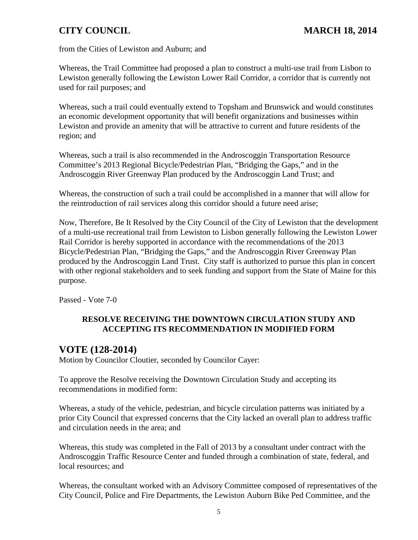from the Cities of Lewiston and Auburn; and

Whereas, the Trail Committee had proposed a plan to construct a multi-use trail from Lisbon to Lewiston generally following the Lewiston Lower Rail Corridor, a corridor that is currently not used for rail purposes; and

Whereas, such a trail could eventually extend to Topsham and Brunswick and would constitutes an economic development opportunity that will benefit organizations and businesses within Lewiston and provide an amenity that will be attractive to current and future residents of the region; and

Whereas, such a trail is also recommended in the Androscoggin Transportation Resource Committee's 2013 Regional Bicycle/Pedestrian Plan, "Bridging the Gaps," and in the Androscoggin River Greenway Plan produced by the Androscoggin Land Trust; and

Whereas, the construction of such a trail could be accomplished in a manner that will allow for the reintroduction of rail services along this corridor should a future need arise;

Now, Therefore, Be It Resolved by the City Council of the City of Lewiston that the development of a multi-use recreational trail from Lewiston to Lisbon generally following the Lewiston Lower Rail Corridor is hereby supported in accordance with the recommendations of the 2013 Bicycle/Pedestrian Plan, "Bridging the Gaps," and the Androscoggin River Greenway Plan produced by the Androscoggin Land Trust. City staff is authorized to pursue this plan in concert with other regional stakeholders and to seek funding and support from the State of Maine for this purpose.

Passed - Vote 7-0

### **RESOLVE RECEIVING THE DOWNTOWN CIRCULATION STUDY AND ACCEPTING ITS RECOMMENDATION IN MODIFIED FORM**

## **VOTE (128-2014)**

Motion by Councilor Cloutier, seconded by Councilor Cayer:

To approve the Resolve receiving the Downtown Circulation Study and accepting its recommendations in modified form:

Whereas, a study of the vehicle, pedestrian, and bicycle circulation patterns was initiated by a prior City Council that expressed concerns that the City lacked an overall plan to address traffic and circulation needs in the area; and

Whereas, this study was completed in the Fall of 2013 by a consultant under contract with the Androscoggin Traffic Resource Center and funded through a combination of state, federal, and local resources; and

Whereas, the consultant worked with an Advisory Committee composed of representatives of the City Council, Police and Fire Departments, the Lewiston Auburn Bike Ped Committee, and the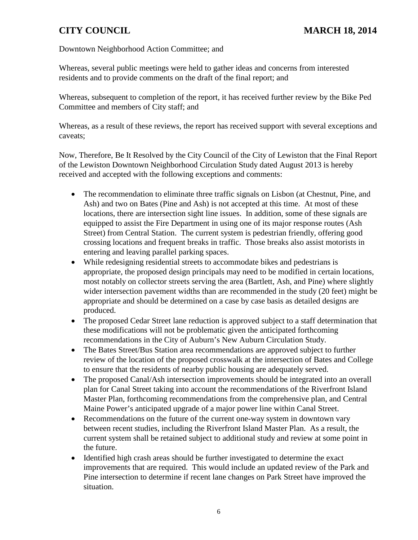#### Downtown Neighborhood Action Committee; and

Whereas, several public meetings were held to gather ideas and concerns from interested residents and to provide comments on the draft of the final report; and

Whereas, subsequent to completion of the report, it has received further review by the Bike Ped Committee and members of City staff; and

Whereas, as a result of these reviews, the report has received support with several exceptions and caveats;

Now, Therefore, Be It Resolved by the City Council of the City of Lewiston that the Final Report of the Lewiston Downtown Neighborhood Circulation Study dated August 2013 is hereby received and accepted with the following exceptions and comments:

- The recommendation to eliminate three traffic signals on Lisbon (at Chestnut, Pine, and Ash) and two on Bates (Pine and Ash) is not accepted at this time. At most of these locations, there are intersection sight line issues. In addition, some of these signals are equipped to assist the Fire Department in using one of its major response routes (Ash Street) from Central Station. The current system is pedestrian friendly, offering good crossing locations and frequent breaks in traffic. Those breaks also assist motorists in entering and leaving parallel parking spaces.
- While redesigning residential streets to accommodate bikes and pedestrians is appropriate, the proposed design principals may need to be modified in certain locations, most notably on collector streets serving the area (Bartlett, Ash, and Pine) where slightly wider intersection pavement widths than are recommended in the study (20 feet) might be appropriate and should be determined on a case by case basis as detailed designs are produced.
- The proposed Cedar Street lane reduction is approved subject to a staff determination that these modifications will not be problematic given the anticipated forthcoming recommendations in the City of Auburn's New Auburn Circulation Study.
- The Bates Street/Bus Station area recommendations are approved subject to further review of the location of the proposed crosswalk at the intersection of Bates and College to ensure that the residents of nearby public housing are adequately served.
- The proposed Canal/Ash intersection improvements should be integrated into an overall plan for Canal Street taking into account the recommendations of the Riverfront Island Master Plan, forthcoming recommendations from the comprehensive plan, and Central Maine Power's anticipated upgrade of a major power line within Canal Street.
- Recommendations on the future of the current one-way system in downtown vary between recent studies, including the Riverfront Island Master Plan. As a result, the current system shall be retained subject to additional study and review at some point in the future.
- Identified high crash areas should be further investigated to determine the exact improvements that are required. This would include an updated review of the Park and Pine intersection to determine if recent lane changes on Park Street have improved the situation.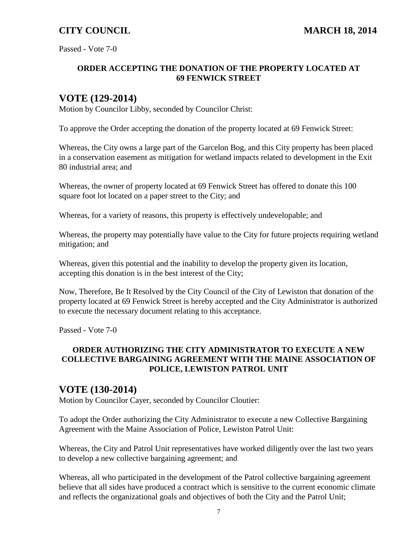Passed - Vote 7-0

#### **ORDER ACCEPTING THE DONATION OF THE PROPERTY LOCATED AT 69 FENWICK STREET**

# **VOTE (129-2014)**

Motion by Councilor Libby, seconded by Councilor Christ:

To approve the Order accepting the donation of the property located at 69 Fenwick Street:

Whereas, the City owns a large part of the Garcelon Bog, and this City property has been placed in a conservation easement as mitigation for wetland impacts related to development in the Exit 80 industrial area; and

Whereas, the owner of property located at 69 Fenwick Street has offered to donate this 100 square foot lot located on a paper street to the City; and

Whereas, for a variety of reasons, this property is effectively undevelopable; and

Whereas, the property may potentially have value to the City for future projects requiring wetland mitigation; and

Whereas, given this potential and the inability to develop the property given its location, accepting this donation is in the best interest of the City;

Now, Therefore, Be It Resolved by the City Council of the City of Lewiston that donation of the property located at 69 Fenwick Street is hereby accepted and the City Administrator is authorized to execute the necessary document relating to this acceptance.

Passed - Vote 7-0

#### **ORDER AUTHORIZING THE CITY ADMINISTRATOR TO EXECUTE A NEW COLLECTIVE BARGAINING AGREEMENT WITH THE MAINE ASSOCIATION OF POLICE, LEWISTON PATROL UNIT**

## **VOTE (130-2014)**

Motion by Councilor Cayer, seconded by Councilor Cloutier:

To adopt the Order authorizing the City Administrator to execute a new Collective Bargaining Agreement with the Maine Association of Police, Lewiston Patrol Unit:

Whereas, the City and Patrol Unit representatives have worked diligently over the last two years to develop a new collective bargaining agreement; and

Whereas, all who participated in the development of the Patrol collective bargaining agreement believe that all sides have produced a contract which is sensitive to the current economic climate and reflects the organizational goals and objectives of both the City and the Patrol Unit;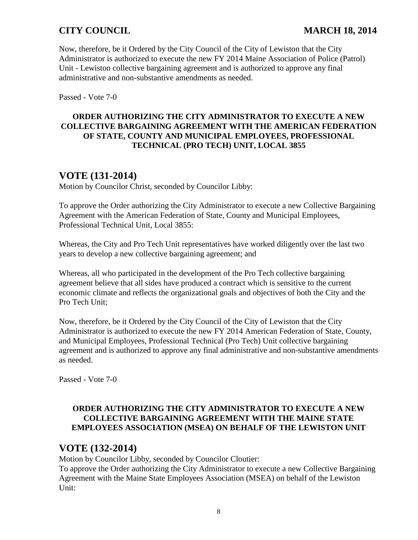Now, therefore, be it Ordered by the City Council of the City of Lewiston that the City Administrator is authorized to execute the new FY 2014 Maine Association of Police (Patrol) Unit - Lewiston collective bargaining agreement and is authorized to approve any final administrative and non-substantive amendments as needed.

Passed - Vote 7-0

### **ORDER AUTHORIZING THE CITY ADMINISTRATOR TO EXECUTE A NEW COLLECTIVE BARGAINING AGREEMENT WITH THE AMERICAN FEDERATION OF STATE, COUNTY AND MUNICIPAL EMPLOYEES, PROFESSIONAL TECHNICAL (PRO TECH) UNIT, LOCAL 3855**

# **VOTE (131-2014)**

Motion by Councilor Christ, seconded by Councilor Libby:

To approve the Order authorizing the City Administrator to execute a new Collective Bargaining Agreement with the American Federation of State, County and Municipal Employees, Professional Technical Unit, Local 3855:

Whereas, the City and Pro Tech Unit representatives have worked diligently over the last two years to develop a new collective bargaining agreement; and

Whereas, all who participated in the development of the Pro Tech collective bargaining agreement believe that all sides have produced a contract which is sensitive to the current economic climate and reflects the organizational goals and objectives of both the City and the Pro Tech Unit;

Now, therefore, be it Ordered by the City Council of the City of Lewiston that the City Administrator is authorized to execute the new FY 2014 American Federation of State, County, and Municipal Employees, Professional Technical (Pro Tech) Unit collective bargaining agreement and is authorized to approve any final administrative and non-substantive amendments as needed.

Passed - Vote 7-0

### **ORDER AUTHORIZING THE CITY ADMINISTRATOR TO EXECUTE A NEW COLLECTIVE BARGAINING AGREEMENT WITH THE MAINE STATE EMPLOYEES ASSOCIATION (MSEA) ON BEHALF OF THE LEWISTON UNIT**

# **VOTE (132-2014)**

Motion by Councilor Libby, seconded by Councilor Cloutier:

To approve the Order authorizing the City Administrator to execute a new Collective Bargaining Agreement with the Maine State Employees Association (MSEA) on behalf of the Lewiston Unit: